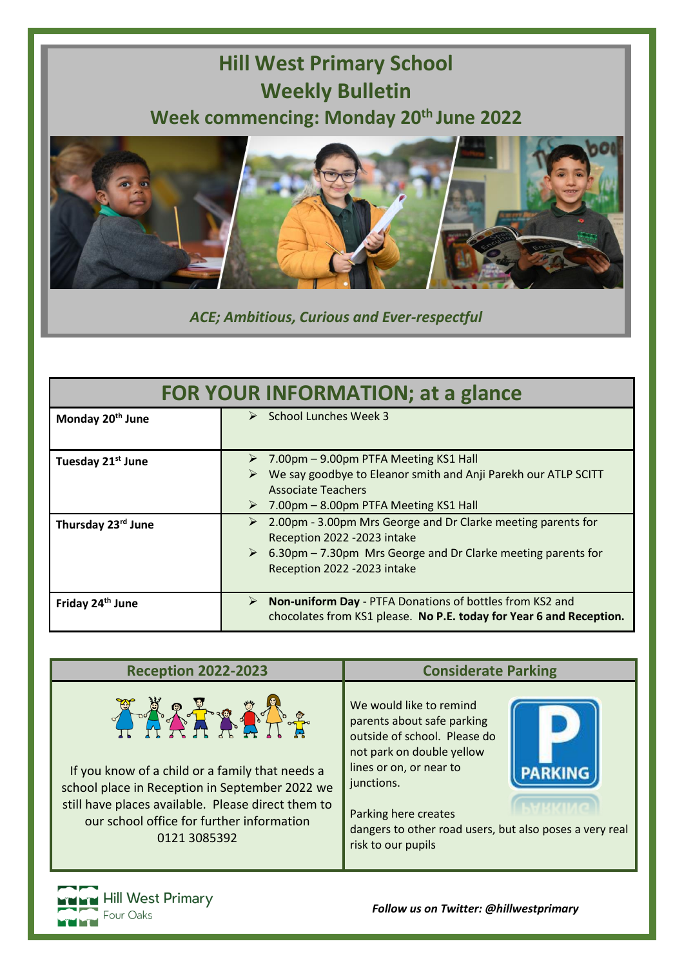## **Hill West Primary School Weekly Bulletin Week commencing: Monday 20th June 2022**



*ACE; Ambitious, Curious and Ever-respectful*

| <b>FOR YOUR INFORMATION; at a glance</b> |                                                                                                                                                                                                        |
|------------------------------------------|--------------------------------------------------------------------------------------------------------------------------------------------------------------------------------------------------------|
| Monday 20 <sup>th</sup> June             | $\triangleright$ School Lunches Week 3                                                                                                                                                                 |
| Tuesday 21 <sup>st</sup> June            | 7.00pm – 9.00pm PTFA Meeting KS1 Hall<br>We say goodbye to Eleanor smith and Anji Parekh our ATLP SCITT<br><b>Associate Teachers</b><br>7.00pm – 8.00pm PTFA Meeting KS1 Hall<br>➤                     |
| Thursday 23rd June                       | 2.00pm - 3.00pm Mrs George and Dr Clarke meeting parents for<br>➤<br>Reception 2022 - 2023 intake<br>6.30pm – 7.30pm Mrs George and Dr Clarke meeting parents for<br>➤<br>Reception 2022 - 2023 intake |
| Friday 24th June                         | <b>Non-uniform Day - PTFA Donations of bottles from KS2 and</b><br>➤<br>chocolates from KS1 please. No P.E. today for Year 6 and Reception.                                                            |





*Follow us on Twitter: @hillwestprimary*